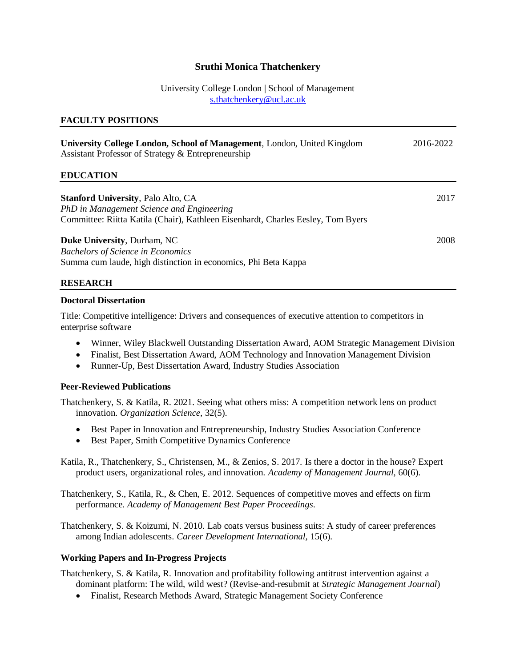# **Sruthi Monica Thatchenkery**

## University College London | School of Management [s.thatchenkery@ucl.ac.uk](mailto:s.thatchenkery@ucl.ac.uk)

## **FACULTY POSITIONS**

| <b>University College London, School of Management, London, United Kingdom</b><br>Assistant Professor of Strategy & Entrepreneurship                                       | 2016-2022 |
|----------------------------------------------------------------------------------------------------------------------------------------------------------------------------|-----------|
| <b>EDUCATION</b>                                                                                                                                                           |           |
| <b>Stanford University, Palo Alto, CA</b><br>PhD in Management Science and Engineering<br>Committee: Riitta Katila (Chair), Kathleen Eisenhardt, Charles Eesley, Tom Byers | 2017      |
| Duke University, Durham, NC<br><b>Bachelors of Science in Economics</b><br>Summa cum laude, high distinction in economics, Phi Beta Kappa                                  | 2008      |

## **RESEARCH**

#### **Doctoral Dissertation**

Title: Competitive intelligence: Drivers and consequences of executive attention to competitors in enterprise software

- Winner, Wiley Blackwell Outstanding Dissertation Award, AOM Strategic Management Division
- Finalist, Best Dissertation Award, AOM Technology and Innovation Management Division
- Runner-Up, Best Dissertation Award, Industry Studies Association

## **Peer-Reviewed Publications**

Thatchenkery, S. & Katila, R. 2021. Seeing what others miss: A competition network lens on product innovation. *Organization Science,* 32(5).

- Best Paper in Innovation and Entrepreneurship, Industry Studies Association Conference
- Best Paper, Smith Competitive Dynamics Conference

Katila, R., Thatchenkery, S., Christensen, M., & Zenios, S. 2017. Is there a doctor in the house? Expert product users, organizational roles, and innovation. *Academy of Management Journal,* 60(6).

Thatchenkery, S., Katila, R., & Chen, E. 2012. Sequences of competitive moves and effects on firm performance. *Academy of Management Best Paper Proceedings.* 

Thatchenkery, S. & Koizumi, N. 2010. Lab coats versus business suits: A study of career preferences among Indian adolescents. *Career Development International,* 15(6).

## **Working Papers and In-Progress Projects**

Thatchenkery, S. & Katila, R. Innovation and profitability following antitrust intervention against a dominant platform: The wild, wild west? (Revise-and-resubmit at *Strategic Management Journal*)

• Finalist, Research Methods Award, Strategic Management Society Conference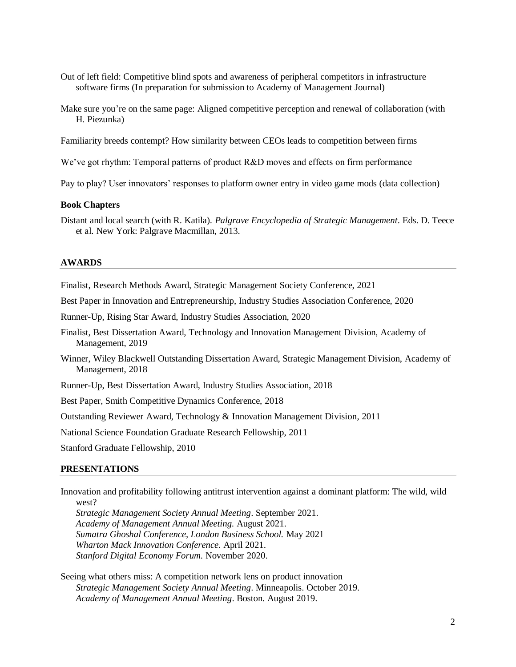- Out of left field: Competitive blind spots and awareness of peripheral competitors in infrastructure software firms (In preparation for submission to Academy of Management Journal)
- Make sure you're on the same page: Aligned competitive perception and renewal of collaboration (with H. Piezunka)

Familiarity breeds contempt? How similarity between CEOs leads to competition between firms

We've got rhythm: Temporal patterns of product R&D moves and effects on firm performance

Pay to play? User innovators' responses to platform owner entry in video game mods (data collection)

#### **Book Chapters**

Distant and local search (with R. Katila). *Palgrave Encyclopedia of Strategic Management*. Eds. D. Teece et al. New York: Palgrave Macmillan, 2013.

#### **AWARDS**

Finalist, Research Methods Award, Strategic Management Society Conference, 2021

Best Paper in Innovation and Entrepreneurship, Industry Studies Association Conference, 2020

Runner-Up, Rising Star Award, Industry Studies Association, 2020

Finalist, Best Dissertation Award, Technology and Innovation Management Division, Academy of Management, 2019

Winner, Wiley Blackwell Outstanding Dissertation Award, Strategic Management Division, Academy of Management, 2018

Runner-Up, Best Dissertation Award, Industry Studies Association, 2018

Best Paper, Smith Competitive Dynamics Conference, 2018

Outstanding Reviewer Award, Technology & Innovation Management Division, 2011

National Science Foundation Graduate Research Fellowship, 2011

Stanford Graduate Fellowship, 2010

#### **PRESENTATIONS**

Innovation and profitability following antitrust intervention against a dominant platform: The wild, wild west?

*Strategic Management Society Annual Meeting*. September 2021. *Academy of Management Annual Meeting.* August 2021. *Sumatra Ghoshal Conference, London Business School.* May 2021 *Wharton Mack Innovation Conference.* April 2021. *Stanford Digital Economy Forum.* November 2020.

Seeing what others miss: A competition network lens on product innovation *Strategic Management Society Annual Meeting*. Minneapolis. October 2019. *Academy of Management Annual Meeting*. Boston. August 2019.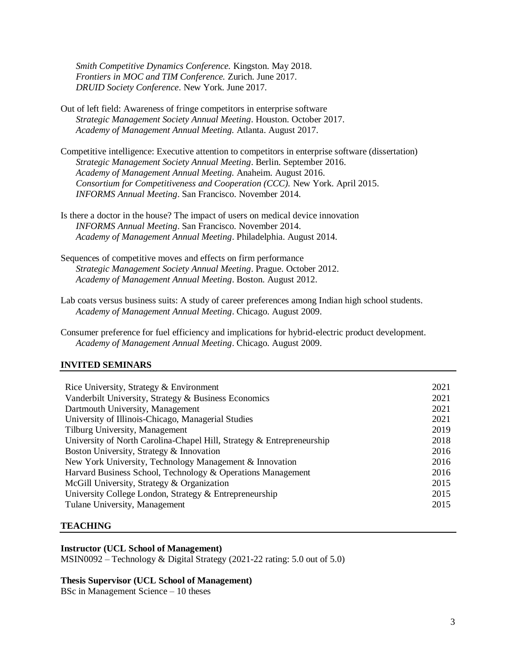*Smith Competitive Dynamics Conference.* Kingston. May 2018. *Frontiers in MOC and TIM Conference.* Zurich. June 2017. *DRUID Society Conference*. New York. June 2017.

- Out of left field: Awareness of fringe competitors in enterprise software *Strategic Management Society Annual Meeting*. Houston. October 2017. *Academy of Management Annual Meeting.* Atlanta. August 2017.
- Competitive intelligence: Executive attention to competitors in enterprise software (dissertation) *Strategic Management Society Annual Meeting*. Berlin. September 2016. *Academy of Management Annual Meeting.* Anaheim. August 2016. *Consortium for Competitiveness and Cooperation (CCC).* New York. April 2015. *INFORMS Annual Meeting*. San Francisco. November 2014.
- Is there a doctor in the house? The impact of users on medical device innovation *INFORMS Annual Meeting*. San Francisco. November 2014. *Academy of Management Annual Meeting*. Philadelphia. August 2014.
- Sequences of competitive moves and effects on firm performance *Strategic Management Society Annual Meeting*. Prague. October 2012. *Academy of Management Annual Meeting*. Boston. August 2012.
- Lab coats versus business suits: A study of career preferences among Indian high school students. *Academy of Management Annual Meeting*. Chicago. August 2009.
- Consumer preference for fuel efficiency and implications for hybrid-electric product development. *Academy of Management Annual Meeting*. Chicago. August 2009.

#### **INVITED SEMINARS**

| Rice University, Strategy & Environment                               | 2021 |
|-----------------------------------------------------------------------|------|
| Vanderbilt University, Strategy & Business Economics                  | 2021 |
| Dartmouth University, Management                                      | 2021 |
| University of Illinois-Chicago, Managerial Studies                    | 2021 |
| Tilburg University, Management                                        | 2019 |
| University of North Carolina-Chapel Hill, Strategy & Entrepreneurship | 2018 |
| Boston University, Strategy & Innovation                              | 2016 |
| New York University, Technology Management & Innovation               | 2016 |
| Harvard Business School, Technology & Operations Management           | 2016 |
| McGill University, Strategy & Organization                            | 2015 |
| University College London, Strategy & Entrepreneurship                | 2015 |
| Tulane University, Management                                         | 2015 |
|                                                                       |      |

#### **TEACHING**

### **Instructor (UCL School of Management)**

MSIN0092 – Technology & Digital Strategy (2021-22 rating: 5.0 out of 5.0)

### **Thesis Supervisor (UCL School of Management)**

BSc in Management Science – 10 theses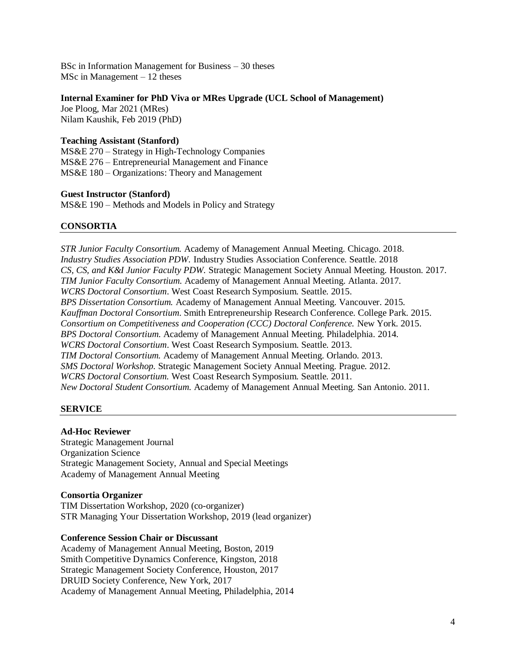BSc in Information Management for Business – 30 theses MSc in Management – 12 theses

## **Internal Examiner for PhD Viva or MRes Upgrade (UCL School of Management)**

Joe Ploog, Mar 2021 (MRes) Nilam Kaushik, Feb 2019 (PhD)

## **Teaching Assistant (Stanford)**

MS&E 270 – Strategy in High-Technology Companies MS&E 276 – Entrepreneurial Management and Finance MS&E 180 – Organizations: Theory and Management

### **Guest Instructor (Stanford)**

MS&E 190 – Methods and Models in Policy and Strategy

## **CONSORTIA**

*STR Junior Faculty Consortium.* Academy of Management Annual Meeting. Chicago. 2018. *Industry Studies Association PDW.* Industry Studies Association Conference. Seattle. 2018 *CS, CS, and K&I Junior Faculty PDW.* Strategic Management Society Annual Meeting. Houston. 2017. *TIM Junior Faculty Consortium.* Academy of Management Annual Meeting. Atlanta. 2017. *WCRS Doctoral Consortium*. West Coast Research Symposium. Seattle. 2015. *BPS Dissertation Consortium.* Academy of Management Annual Meeting. Vancouver. 2015. *Kauffman Doctoral Consortium*. Smith Entrepreneurship Research Conference. College Park. 2015. *Consortium on Competitiveness and Cooperation (CCC) Doctoral Conference.* New York. 2015. *BPS Doctoral Consortium*. Academy of Management Annual Meeting. Philadelphia. 2014. *WCRS Doctoral Consortium*. West Coast Research Symposium. Seattle. 2013. *TIM Doctoral Consortium.* Academy of Management Annual Meeting. Orlando. 2013. *SMS Doctoral Workshop.* Strategic Management Society Annual Meeting. Prague. 2012. *WCRS Doctoral Consortium.* West Coast Research Symposium. Seattle. 2011. *New Doctoral Student Consortium.* Academy of Management Annual Meeting. San Antonio. 2011.

## **SERVICE**

## **Ad-Hoc Reviewer**

Strategic Management Journal Organization Science Strategic Management Society, Annual and Special Meetings Academy of Management Annual Meeting

## **Consortia Organizer**

TIM Dissertation Workshop, 2020 (co-organizer) STR Managing Your Dissertation Workshop, 2019 (lead organizer)

## **Conference Session Chair or Discussant**

Academy of Management Annual Meeting, Boston, 2019 Smith Competitive Dynamics Conference, Kingston, 2018 Strategic Management Society Conference, Houston, 2017 DRUID Society Conference, New York, 2017 Academy of Management Annual Meeting, Philadelphia, 2014